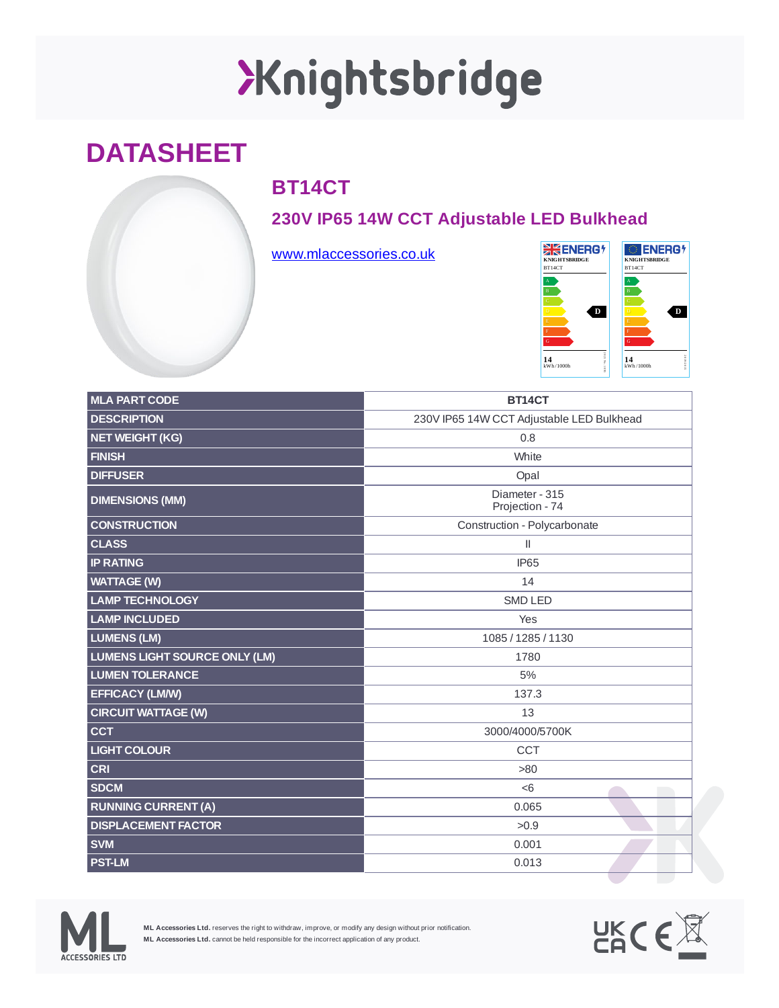# XKnightsbridge

### **DATASHEET**

### **BT14CT**

#### **230V IP65 14W CCT Adjustable LED Bulkhead**

[www.mlaccessories.co.uk](https://www.mlaccessories.co.uk/)



| <b>MLA PART CODE</b>                 | BT14CT                                    |
|--------------------------------------|-------------------------------------------|
|                                      |                                           |
| <b>DESCRIPTION</b>                   | 230V IP65 14W CCT Adjustable LED Bulkhead |
| <b>NET WEIGHT (KG)</b>               | 0.8                                       |
| <b>FINISH</b>                        | White                                     |
| <b>DIFFUSER</b>                      | Opal                                      |
| <b>DIMENSIONS (MM)</b>               | Diameter - 315<br>Projection - 74         |
| <b>CONSTRUCTION</b>                  | Construction - Polycarbonate              |
| <b>CLASS</b>                         | $\mathbf{I}$                              |
| <b>IP RATING</b>                     | IP65                                      |
| <b>WATTAGE (W)</b>                   | 14                                        |
| <b>LAMP TECHNOLOGY</b>               | <b>SMD LED</b>                            |
| <b>LAMP INCLUDED</b>                 | Yes                                       |
| <b>LUMENS (LM)</b>                   | 1085 / 1285 / 1130                        |
| <b>LUMENS LIGHT SOURCE ONLY (LM)</b> | 1780                                      |
| <b>LUMEN TOLERANCE</b>               | 5%                                        |
| <b>EFFICACY (LM/W)</b>               | 137.3                                     |
| <b>CIRCUIT WATTAGE (W)</b>           | 13                                        |
| <b>CCT</b>                           | 3000/4000/5700K                           |
| <b>LIGHT COLOUR</b>                  | <b>CCT</b>                                |
| <b>CRI</b>                           | >80                                       |
| <b>SDCM</b>                          | < 6                                       |
| <b>RUNNING CURRENT (A)</b>           | 0.065                                     |
| <b>DISPLACEMENT FACTOR</b>           | >0.9                                      |
| <b>SVM</b>                           | 0.001                                     |
| <b>PST-LM</b>                        | 0.013                                     |



**ML Accessories Ltd.** reserves the right to withdraw, improve, or modify any design without prior notification. **ML Accessories Ltd.** cannot be held responsible for the incorrect application of any product.